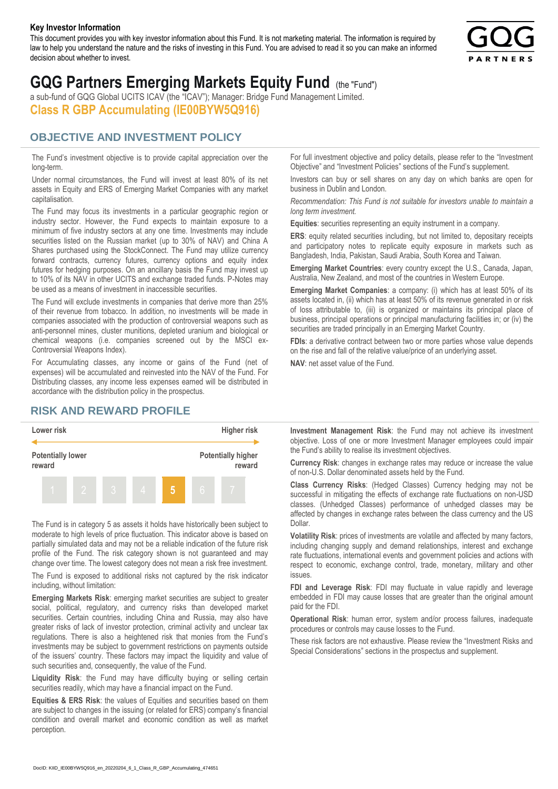#### **Key Investor Information**

This document provides you with key investor information about this Fund. It is not marketing material. The information is required by law to help you understand the nature and the risks of investing in this Fund. You are advised to read it so you can make an informed decision about whether to invest.



# **GQG Partners Emerging Markets Equity Fund** (the "Fund")

a sub-fund of GQG Global UCITS ICAV (the "ICAV"); Manager: Bridge Fund Management Limited. **Class R GBP Accumulating (IE00BYW5Q916)**

### **OBJECTIVE AND INVESTMENT POLICY**

The Fund's investment objective is to provide capital appreciation over the long-term.

Under normal circumstances, the Fund will invest at least 80% of its net assets in Equity and ERS of Emerging Market Companies with any market capitalisation.

The Fund may focus its investments in a particular geographic region or industry sector. However, the Fund expects to maintain exposure to a minimum of five industry sectors at any one time. Investments may include securities listed on the Russian market (up to 30% of NAV) and China A Shares purchased using the StockConnect. The Fund may utilize currency forward contracts, currency futures, currency options and equity index futures for hedging purposes. On an ancillary basis the Fund may invest up to 10% of its NAV in other UCITS and exchange traded funds. P-Notes may be used as a means of investment in inaccessible securities.

The Fund will exclude investments in companies that derive more than 25% of their revenue from tobacco. In addition, no investments will be made in companies associated with the production of controversial weapons such as anti-personnel mines, cluster munitions, depleted uranium and biological or chemical weapons (i.e. companies screened out by the MSCI ex-Controversial Weapons Index).

For Accumulating classes, any income or gains of the Fund (net of expenses) will be accumulated and reinvested into the NAV of the Fund. For Distributing classes, any income less expenses earned will be distributed in accordance with the distribution policy in the prospectus.

## **RISK AND REWARD PROFILE**



The Fund is in category 5 as assets it holds have historically been subject to moderate to high levels of price fluctuation. This indicator above is based on partially simulated data and may not be a reliable indication of the future risk profile of the Fund. The risk category shown is not guaranteed and may change over time. The lowest category does not mean a risk free investment.

The Fund is exposed to additional risks not captured by the risk indicator including, without limitation:

**Emerging Markets Risk**: emerging market securities are subject to greater social, political, regulatory, and currency risks than developed market securities. Certain countries, including China and Russia, may also have greater risks of lack of investor protection, criminal activity and unclear tax regulations. There is also a heightened risk that monies from the Fund's investments may be subject to government restrictions on payments outside of the issuers' country. These factors may impact the liquidity and value of such securities and, consequently, the value of the Fund.

**Liquidity Risk**: the Fund may have difficulty buying or selling certain securities readily, which may have a financial impact on the Fund.

**Equities & ERS Risk**: the values of Equities and securities based on them are subject to changes in the issuing (or related for ERS) company's financial condition and overall market and economic condition as well as market perception.

For full investment objective and policy details, please refer to the "Investment Objective" and "Investment Policies" sections of the Fund's supplement.

Investors can buy or sell shares on any day on which banks are open for business in Dublin and London.

*Recommendation: This Fund is not suitable for investors unable to maintain a long term investment.*

**Equities**: securities representing an equity instrument in a company.

**ERS:** equity related securities including, but not limited to, depositary receipts and participatory notes to replicate equity exposure in markets such as Bangladesh, India, Pakistan, Saudi Arabia, South Korea and Taiwan.

**Emerging Market Countries**: every country except the U.S., Canada, Japan, Australia, New Zealand, and most of the countries in Western Europe.

**Emerging Market Companies**: a company: (i) which has at least 50% of its assets located in, (ii) which has at least 50% of its revenue generated in or risk of loss attributable to, (iii) is organized or maintains its principal place of business, principal operations or principal manufacturing facilities in; or (iv) the securities are traded principally in an Emerging Market Country.

**FDIs**: a derivative contract between two or more parties whose value depends on the rise and fall of the relative value/price of an underlying asset.

**NAV**: net asset value of the Fund.

**Investment Management Risk**: the Fund may not achieve its investment objective. Loss of one or more Investment Manager employees could impair the Fund's ability to realise its investment objectives.

**Currency Risk**: changes in exchange rates may reduce or increase the value of non-U.S. Dollar denominated assets held by the Fund.

**Class Currency Risks**: (Hedged Classes) Currency hedging may not be successful in mitigating the effects of exchange rate fluctuations on non-USD classes. (Unhedged Classes) performance of unhedged classes may be affected by changes in exchange rates between the class currency and the US Dollar.

**Volatility Risk**: prices of investments are volatile and affected by many factors, including changing supply and demand relationships, interest and exchange rate fluctuations, international events and government policies and actions with respect to economic, exchange control, trade, monetary, military and other issues.

**FDI and Leverage Risk**: FDI may fluctuate in value rapidly and leverage embedded in FDI may cause losses that are greater than the original amount paid for the FDI.

**Operational Risk**: human error, system and/or process failures, inadequate procedures or controls may cause losses to the Fund.

These risk factors are not exhaustive. Please review the "Investment Risks and Special Considerations" sections in the prospectus and supplement.